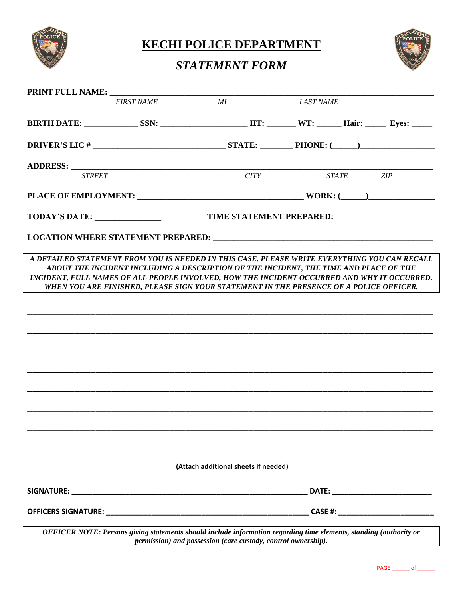

**KECHI POLICE DEPARTMENT** 

## *STATEMENT FORM*



|                                                                                                                                                                                             | <b>FIRST NAME</b>                                                                                                                                                               | MI                                   |      | <b>LAST NAME</b>                                              |           |  |  |  |
|---------------------------------------------------------------------------------------------------------------------------------------------------------------------------------------------|---------------------------------------------------------------------------------------------------------------------------------------------------------------------------------|--------------------------------------|------|---------------------------------------------------------------|-----------|--|--|--|
|                                                                                                                                                                                             |                                                                                                                                                                                 |                                      |      |                                                               |           |  |  |  |
|                                                                                                                                                                                             |                                                                                                                                                                                 |                                      |      |                                                               |           |  |  |  |
|                                                                                                                                                                                             |                                                                                                                                                                                 |                                      |      |                                                               |           |  |  |  |
| <b>STREET</b>                                                                                                                                                                               |                                                                                                                                                                                 |                                      | CITY |                                                               | STATE ZIP |  |  |  |
|                                                                                                                                                                                             |                                                                                                                                                                                 |                                      |      |                                                               |           |  |  |  |
| TODAY'S DATE:                                                                                                                                                                               |                                                                                                                                                                                 |                                      |      |                                                               |           |  |  |  |
|                                                                                                                                                                                             |                                                                                                                                                                                 |                                      |      |                                                               |           |  |  |  |
| A DETAILED STATEMENT FROM YOU IS NEEDED IN THIS CASE. PLEASE WRITE EVERYTHING YOU CAN RECALL<br>INCIDENT, FULL NAMES OF ALL PEOPLE INVOLVED, HOW THE INCIDENT OCCURRED AND WHY IT OCCURRED. | ABOUT THE INCIDENT INCLUDING A DESCRIPTION OF THE INCIDENT, THE TIME AND PLACE OF THE<br>WHEN YOU ARE FINISHED, PLEASE SIGN YOUR STATEMENT IN THE PRESENCE OF A POLICE OFFICER. |                                      |      |                                                               |           |  |  |  |
|                                                                                                                                                                                             |                                                                                                                                                                                 |                                      |      |                                                               |           |  |  |  |
|                                                                                                                                                                                             |                                                                                                                                                                                 |                                      |      |                                                               |           |  |  |  |
|                                                                                                                                                                                             |                                                                                                                                                                                 |                                      |      |                                                               |           |  |  |  |
|                                                                                                                                                                                             |                                                                                                                                                                                 |                                      |      |                                                               |           |  |  |  |
|                                                                                                                                                                                             |                                                                                                                                                                                 |                                      |      |                                                               |           |  |  |  |
|                                                                                                                                                                                             |                                                                                                                                                                                 |                                      |      |                                                               |           |  |  |  |
|                                                                                                                                                                                             |                                                                                                                                                                                 |                                      |      |                                                               |           |  |  |  |
|                                                                                                                                                                                             |                                                                                                                                                                                 |                                      |      |                                                               |           |  |  |  |
|                                                                                                                                                                                             |                                                                                                                                                                                 |                                      |      |                                                               |           |  |  |  |
|                                                                                                                                                                                             |                                                                                                                                                                                 | (Attach additional sheets if needed) |      |                                                               |           |  |  |  |
|                                                                                                                                                                                             |                                                                                                                                                                                 |                                      |      |                                                               |           |  |  |  |
|                                                                                                                                                                                             |                                                                                                                                                                                 |                                      |      |                                                               |           |  |  |  |
|                                                                                                                                                                                             | OFFICER NOTE: Persons giving statements should include information regarding time elements, standing (authority or                                                              |                                      |      | permission) and possession (care custody, control ownership). |           |  |  |  |

PAGE \_\_\_\_\_\_\_ of \_\_\_\_\_